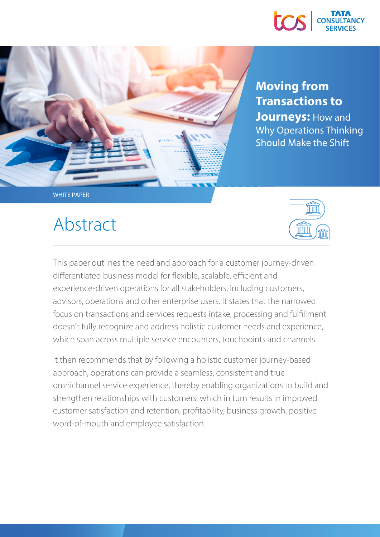



### **Moving from Transactions to Journeys: How and** Why Operations Thinking Should Make the Shift

Abstract



This paper outlines the need and approach for a customer journey-driven differentiated business model for flexible, scalable, efficient and experience-driven operations for all stakeholders, including customers, advisors, operations and other enterprise users. It states that the narrowed focus on transactions and services requests intake, processing and fulllment doesn't fully recognize and address holistic customer needs and experience, which span across multiple service encounters, touchpoints and channels.

It then recommends that by following a holistic customer journey-based approach, operations can provide a seamless, consistent and true omnichannel service experience, thereby enabling organizations to build and strengthen relationships with customers, which in turn results in improved customer satisfaction and retention, profitability, business growth, positive word-of-mouth and employee satisfaction.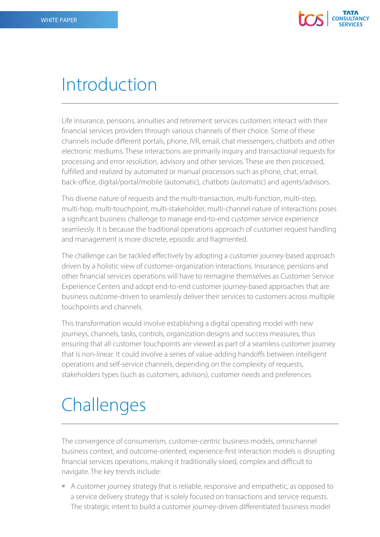

### Introduction

Life insurance, pensions, annuities and retirement services customers interact with their nancial services providers through various channels of their choice. Some of these channels include different portals, phone, IVR, email, chat messengers, chatbots and other electronic mediums. These interactions are primarily inquiry and transactional requests for processing and error resolution, advisory and other services. These are then processed, fulfilled and realized by automated or manual processors such as phone, chat, email, back-office, digital/portal/mobile (automatic), chatbots (automatic) and agents/advisors.

This diverse nature of requests and the multi-transaction, multi-function, multi-step, multi-hop, multi-touchpoint, multi-stakeholder, multi-channel nature of interactions poses a significant business challenge to manage end-to-end customer service experience seamlessly. It is because the traditional operations approach of customer request handling and management is more discrete, episodic and fragmented.

The challenge can be tackled effectively by adopting a customer journey-based approach driven by a holistic view of customer-organization interactions. Insurance, pensions and other financial services operations will have to reimagine themselves as Customer Service Experience Centers and adopt end-to-end customer journey-based approaches that are business outcome-driven to seamlessly deliver their services to customers across multiple touchpoints and channels.

This transformation would involve establishing a digital operating model with new journeys, channels, tasks, controls, organization designs and success measures, thus ensuring that all customer touchpoints are viewed as part of a seamless customer journey that is non-linear. It could involve a series of value-adding handoffs between intelligent operations and self-service channels, depending on the complexity of requests, stakeholders types (such as customers, advisors), customer needs and preferences.

# **Challenges**

The convergence of consumerism, customer-centric business models, omnichannel business context, and outcome-oriented, experience-first interaction models is disrupting financial services operations, making it traditionally siloed, complex and difficult to navigate. The key trends include:

 A customer journey strategy that is reliable, responsive and empathetic, as opposed to a service delivery strategy that is solely focused on transactions and service requests. The strategic intent to build a customer journey-driven differentiated business model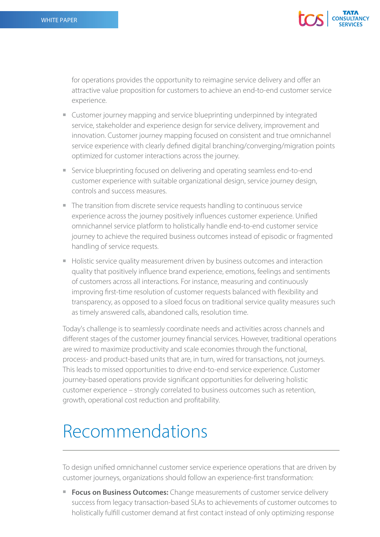

for operations provides the opportunity to reimagine service delivery and offer an attractive value proposition for customers to achieve an end-to-end customer service experience.

- Customer journey mapping and service blueprinting underpinned by integrated service, stakeholder and experience design for service delivery, improvement and innovation. Customer journey mapping focused on consistent and true omnichannel service experience with clearly defined digital branching/converging/migration points optimized for customer interactions across the journey.
- Service blueprinting focused on delivering and operating seamless end-to-end customer experience with suitable organizational design, service journey design, controls and success measures.
- The transition from discrete service requests handling to continuous service experience across the journey positively influences customer experience. Unified omnichannel service platform to holistically handle end-to-end customer service journey to achieve the required business outcomes instead of episodic or fragmented handling of service requests.
- Holistic service quality measurement driven by business outcomes and interaction quality that positively influence brand experience, emotions, feelings and sentiments of customers across all interactions. For instance, measuring and continuously improving first-time resolution of customer requests balanced with flexibility and transparency, as opposed to a siloed focus on traditional service quality measures such as timely answered calls, abandoned calls, resolution time.

Today's challenge is to seamlessly coordinate needs and activities across channels and different stages of the customer journey financial services. However, traditional operations are wired to maximize productivity and scale economies through the functional, process- and product-based units that are, in turn, wired for transactions, not journeys. This leads to missed opportunities to drive end-to-end service experience. Customer journey-based operations provide significant opportunities for delivering holistic customer experience – strongly correlated to business outcomes such as retention, growth, operational cost reduction and profitability.

## Recommendations

To design unified omnichannel customer service experience operations that are driven by customer journeys, organizations should follow an experience-first transformation:

**Focus on Business Outcomes:** Change measurements of customer service delivery success from legacy transaction-based SLAs to achievements of customer outcomes to holistically fulfill customer demand at first contact instead of only optimizing response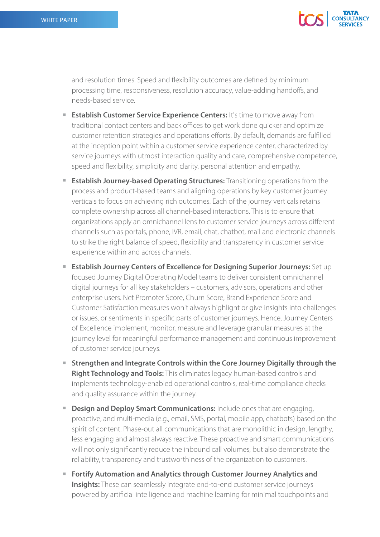

and resolution times. Speed and flexibility outcomes are defined by minimum processing time, responsiveness, resolution accuracy, value-adding handoffs, and needs-based service.

- **Establish Customer Service Experience Centers:** It's time to move away from traditional contact centers and back offices to get work done quicker and optimize customer retention strategies and operations efforts. By default, demands are fulfilled at the inception point within a customer service experience center, characterized by service journeys with utmost interaction quality and care, comprehensive competence, speed and flexibility, simplicity and clarity, personal attention and empathy.
- **Extablish Journey-based Operating Structures:** Transitioning operations from the process and product-based teams and aligning operations by key customer journey verticals to focus on achieving rich outcomes. Each of the journey verticals retains complete ownership across all channel-based interactions. This is to ensure that organizations apply an omnichannel lens to customer service journeys across different channels such as portals, phone, IVR, email, chat, chatbot, mail and electronic channels to strike the right balance of speed, flexibility and transparency in customer service experience within and across channels.
- **Establish Journey Centers of Excellence for Designing Superior Journeys:** Set up focused Journey Digital Operating Model teams to deliver consistent omnichannel digital journeys for all key stakeholders – customers, advisors, operations and other enterprise users. Net Promoter Score, Churn Score, Brand Experience Score and Customer Satisfaction measures won't always highlight or give insights into challenges or issues, or sentiments in specific parts of customer journeys. Hence, Journey Centers of Excellence implement, monitor, measure and leverage granular measures at the journey level for meaningful performance management and continuous improvement of customer service journeys.
- **Strengthen and Integrate Controls within the Core Journey Digitally through the Right Technology and Tools:** This eliminates legacy human-based controls and implements technology-enabled operational controls, real-time compliance checks and quality assurance within the journey.
- **Design and Deploy Smart Communications:** Include ones that are engaging, proactive, and multi-media (e.g., email, SMS, portal, mobile app, chatbots) based on the spirit of content. Phase-out all communications that are monolithic in design, lengthy, less engaging and almost always reactive. These proactive and smart communications will not only significantly reduce the inbound call volumes, but also demonstrate the reliability, transparency and trustworthiness of the organization to customers.
- **Fortify Automation and Analytics through Customer Journey Analytics and Insights:** These can seamlessly integrate end-to-end customer service journeys powered by artificial intelligence and machine learning for minimal touchpoints and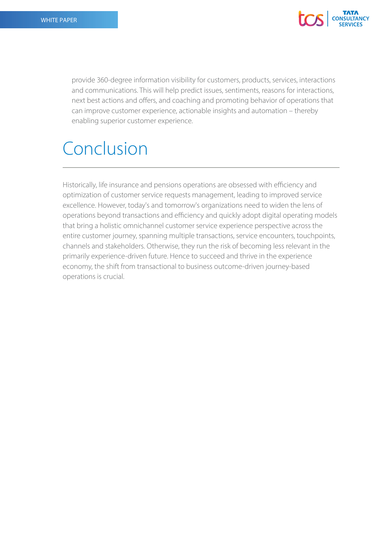

provide 360-degree information visibility for customers, products, services, interactions and communications. This will help predict issues, sentiments, reasons for interactions, next best actions and offers, and coaching and promoting behavior of operations that can improve customer experience, actionable insights and automation – thereby enabling superior customer experience.

### Conclusion

Historically, life insurance and pensions operations are obsessed with efficiency and optimization of customer service requests management, leading to improved service excellence. However, today's and tomorrow's organizations need to widen the lens of operations beyond transactions and efficiency and quickly adopt digital operating models that bring a holistic omnichannel customer service experience perspective across the entire customer journey, spanning multiple transactions, service encounters, touchpoints, channels and stakeholders. Otherwise, they run the risk of becoming less relevant in the primarily experience-driven future. Hence to succeed and thrive in the experience economy, the shift from transactional to business outcome-driven journey-based operations is crucial.